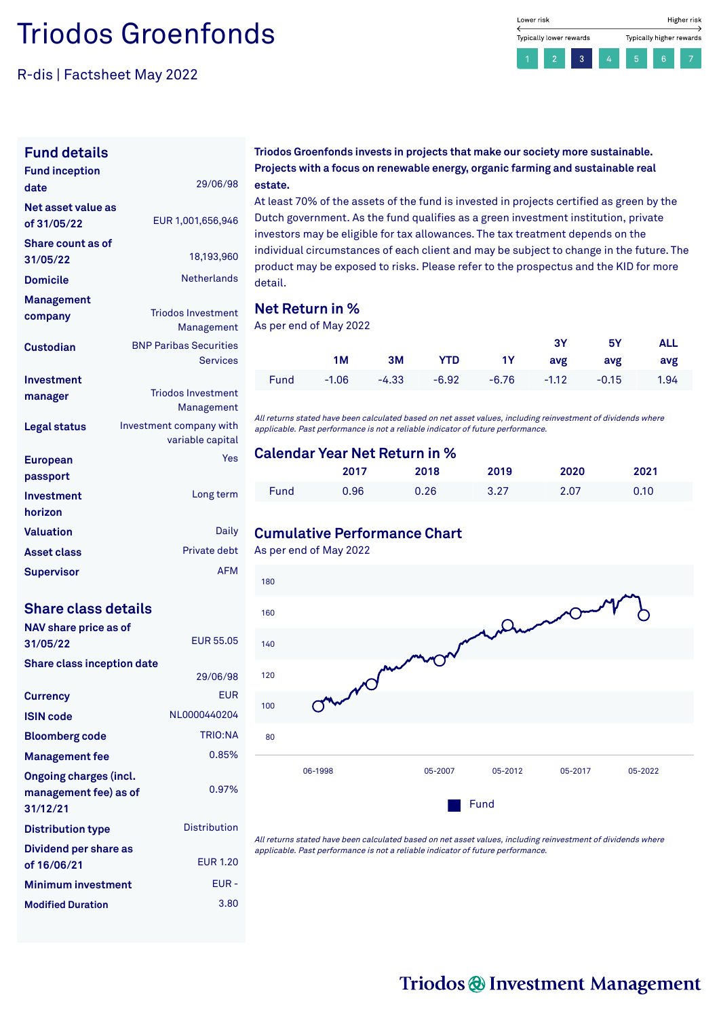# Triodos Groenfonds

R-dis | Factsheet May 2022



### **Fund details**

| <b>Fund inception</b><br>date     | 29/06/98                                    |
|-----------------------------------|---------------------------------------------|
| Net asset value as<br>of 31/05/22 | EUR 1,001,656,946                           |
| Share count as of<br>31/05/22     | 18,193,960                                  |
| <b>Domicile</b>                   | <b>Netherlands</b>                          |
| Management                        |                                             |
| company                           | <b>Triodos Investment</b><br>Management     |
| Custodian                         | <b>BNP Paribas Securities</b>               |
|                                   | <b>Services</b>                             |
| Investment                        |                                             |
| manager                           | <b>Triodos Investment</b>                   |
|                                   | Management                                  |
| Legal status                      | Investment company with<br>variable capital |
|                                   | Yes                                         |
| <b>European</b><br>passport       |                                             |
| Investment                        | Long term                                   |
| horizon                           |                                             |
|                                   | Daily                                       |
| <b>Valuation</b>                  |                                             |
| <b>Asset class</b>                | Private debt                                |
| <b>Supervisor</b>                 | <b>AFM</b>                                  |

### **Share class details**

| NAV share price as of<br>31/05/22                                  | <b>FUR 55.05</b>    |
|--------------------------------------------------------------------|---------------------|
| <b>Share class inception date</b>                                  |                     |
|                                                                    | 29/06/98            |
| <b>Currency</b>                                                    | FUR                 |
| <b>ISIN code</b>                                                   | NL0000440204        |
| <b>Bloomberg code</b>                                              | <b>TRIO:NA</b>      |
| <b>Management fee</b>                                              | 0.85%               |
| <b>Ongoing charges (incl.</b><br>management fee) as of<br>31/12/21 | 0.97%               |
| <b>Distribution type</b>                                           | <b>Distribution</b> |
| Dividend per share as<br>of 16/06/21                               | <b>FUR 1.20</b>     |
| <b>Minimum investment</b>                                          | EUR-                |
| <b>Modified Duration</b>                                           | 3.80                |

#### **Triodos Groenfonds invests in projects that make our society more sustainable. Projects with a focus on renewable energy, organic farming and sustainable real estate.**

At least 70% of the assets of the fund is invested in projects certified as green by the Dutch government. As the fund qualifies as a green investment institution, private investors may be eligible for tax allowances. The tax treatment depends on the individual circumstances of each client and may be subject to change in the future. The product may be exposed to risks. Please refer to the prospectus and the KID for more detail.

## **Net Return in %**

As per end of May 2022

|    |  |                                               | 3Y 5Y ALL |  |
|----|--|-----------------------------------------------|-----------|--|
| 1M |  | 3M YTD 1Y avg avg avg                         |           |  |
|    |  | Fund -1.06 -4.33 -6.92 -6.76 -1.12 -0.15 1.94 |           |  |

All returns stated have been calculated based on net asset values, including reinvestment of dividends where applicable. Past performance is not <sup>a</sup> reliable indicator of future performance.

### **Calendar Year Net Return in %**

|      | 2017 | 2018 | 2019 | 2020 | 2021 |
|------|------|------|------|------|------|
| Fund | Ა.96 | 0.26 | 3.27 | 2.07 | 0.10 |

## **Cumulative Performance Chart**

As per end of May 2022



All returns stated have been calculated based on net asset values, including reinvestment of dividends where applicable. Past performance is not <sup>a</sup> reliable indicator of future performance.

# Triodos @ Investment Management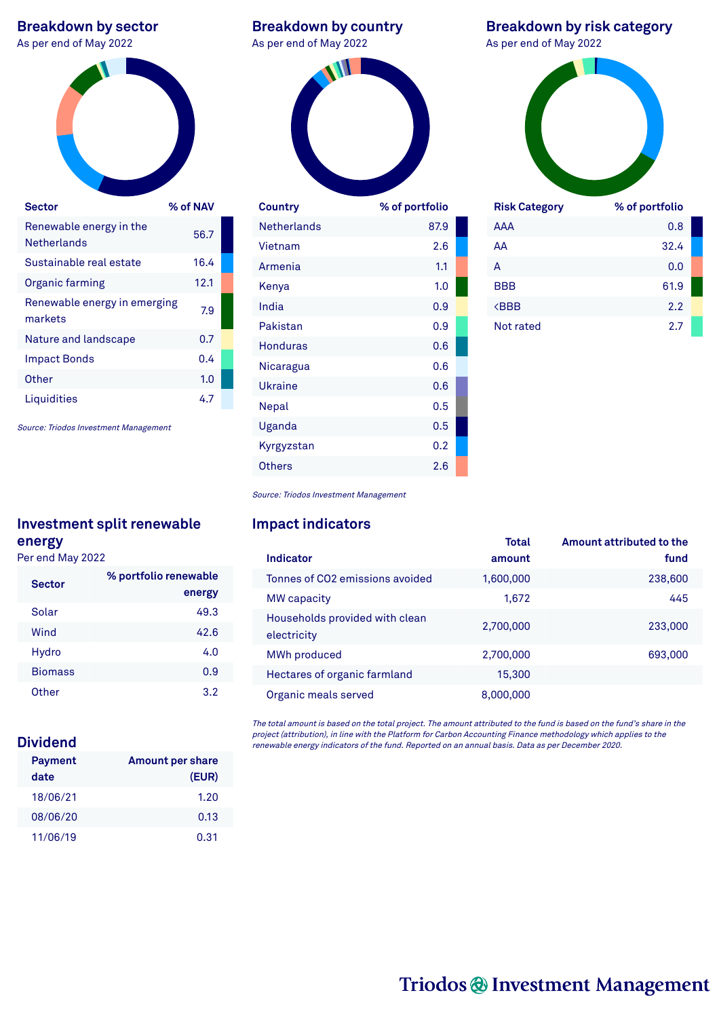# **Breakdown by sector**<br>As per end of May 2022



| 56.7 |  |
|------|--|
| 16.4 |  |
| 12.1 |  |
| 7.9  |  |
| 0.7  |  |
| 0.4  |  |
| 1.0  |  |
| 4.7  |  |
|      |  |

Source: Triodos Investment Management

# **Investment split renewable energy**

Per end May 2022

| <b>Sector</b>  | % portfolio renewable<br>energy |
|----------------|---------------------------------|
| Solar          | 49.3                            |
| Wind           | 42.6                            |
| Hydro          | 4.0                             |
| <b>Biomass</b> | 0.9                             |
| Other          | 3.2                             |

# **Dividend**

| <b>Payment</b> | <b>Amount per share</b> |
|----------------|-------------------------|
| date           | (EUR)                   |
| 18/06/21       | 1.20                    |
| 08/06/20       | 0.13                    |
| 11/06/19       | 0.31                    |

### **Breakdown by country** As per end of May 2022



| Country            | % of portfolio |  |
|--------------------|----------------|--|
| <b>Netherlands</b> | 87.9           |  |
| Vietnam            | 2.6            |  |
| Armenia            | 1.1            |  |
| Kenya              | 1.0            |  |
| India              | 0.9            |  |
| Pakistan           | 0.9            |  |
| Honduras           | 0.6            |  |
| Nicaragua          | 0.6            |  |
| Ukraine            | 0.6            |  |
| Nepal              | 0.5            |  |
| Uganda             | 0.5            |  |
| Kyrgyzstan         | 0.2            |  |
| Others             | 2.6            |  |

# **Breakdown by risk category**



| <b>Risk Category</b>      | % of portfolio |
|---------------------------|----------------|
| AAA                       | 0.8            |
| AA                        | 32.4           |
| А                         | 0.0            |
| <b>BBB</b>                | 61.9           |
| <b><bbb< b=""></bbb<></b> | 2.2            |
| Not rated                 | 2.7            |

Source: Triodos Investment Management

## **Impact indicators**

|           | Amount attributed to the |
|-----------|--------------------------|
| amount    | fund                     |
| 1,600,000 | 238,600                  |
| 1,672     | 445                      |
| 2,700,000 | 233,000                  |
| 2,700,000 | 693,000                  |
| 15,300    |                          |
| 8,000,000 |                          |
|           | Total                    |

The total amount is based on the total project. The amount attributed to the fund is based on the fund's share in the project (attribution), in line with the Platform for Carbon Accounting Finance methodology which applies to the renewable energy indicators of the fund. Reported on an annual basis. Data as per December 2020.